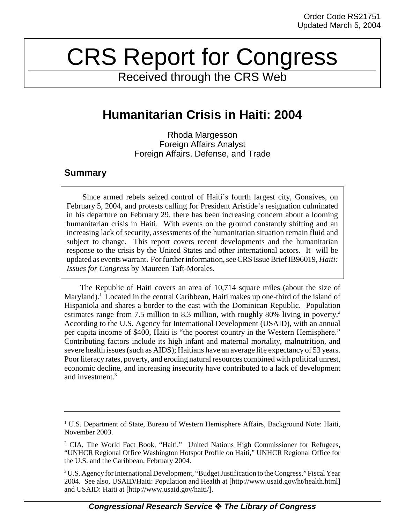# CRS Report for Congress

Received through the CRS Web

## **Humanitarian Crisis in Haiti: 2004**

Rhoda Margesson Foreign Affairs Analyst Foreign Affairs, Defense, and Trade

### **Summary**

Since armed rebels seized control of Haiti's fourth largest city, Gonaives, on February 5, 2004, and protests calling for President Aristide's resignation culminated in his departure on February 29, there has been increasing concern about a looming humanitarian crisis in Haiti. With events on the ground constantly shifting and an increasing lack of security, assessments of the humanitarian situation remain fluid and subject to change. This report covers recent developments and the humanitarian response to the crisis by the United States and other international actors. It will be updated as events warrant. For further information, see CRS Issue Brief IB96019, *Haiti: Issues for Congress* by Maureen Taft-Morales.

The Republic of Haiti covers an area of 10,714 square miles (about the size of Maryland).<sup>1</sup> Located in the central Caribbean, Haiti makes up one-third of the island of Hispaniola and shares a border to the east with the Dominican Republic. Population estimates range from 7.5 million to 8.3 million, with roughly 80% living in poverty.<sup>2</sup> According to the U.S. Agency for International Development (USAID), with an annual per capita income of \$400, Haiti is "the poorest country in the Western Hemisphere." Contributing factors include its high infant and maternal mortality, malnutrition, and severe health issues (such as AIDS); Haitians have an average life expectancy of 53 years. Poor literacy rates, poverty, and eroding natural resources combined with political unrest, economic decline, and increasing insecurity have contributed to a lack of development and investment.3

<sup>&</sup>lt;sup>1</sup> U.S. Department of State, Bureau of Western Hemisphere Affairs, Background Note: Haiti, November 2003.

<sup>&</sup>lt;sup>2</sup> CIA, The World Fact Book, "Haiti." United Nations High Commissioner for Refugees, "UNHCR Regional Office Washington Hotspot Profile on Haiti," UNHCR Regional Office for the U.S. and the Caribbean, February 2004.

<sup>&</sup>lt;sup>3</sup> U.S. Agency for International Development, "Budget Justification to the Congress," Fiscal Year 2004. See also, USAID/Haiti: Population and Health at [http://www.usaid.gov/ht/health.html] and USAID: Haiti at [http://www.usaid.gov/haiti/].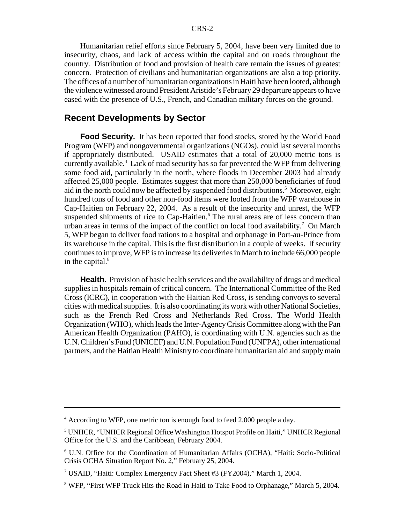Humanitarian relief efforts since February 5, 2004, have been very limited due to insecurity, chaos, and lack of access within the capital and on roads throughout the country. Distribution of food and provision of health care remain the issues of greatest concern. Protection of civilians and humanitarian organizations are also a top priority. The offices of a number of humanitarian organizations in Haiti have been looted, although the violence witnessed around President Aristide's February 29 departure appears to have eased with the presence of U.S., French, and Canadian military forces on the ground.

#### **Recent Developments by Sector**

**Food Security.** It has been reported that food stocks, stored by the World Food Program (WFP) and nongovernmental organizations (NGOs), could last several months if appropriately distributed. USAID estimates that a total of 20,000 metric tons is currently available.4 Lack of road security has so far prevented the WFP from delivering some food aid, particularly in the north, where floods in December 2003 had already affected 25,000 people. Estimates suggest that more than 250,000 beneficiaries of food aid in the north could now be affected by suspended food distributions.<sup>5</sup> Moreover, eight hundred tons of food and other non-food items were looted from the WFP warehouse in Cap-Haitien on February 22, 2004. As a result of the insecurity and unrest, the WFP suspended shipments of rice to Cap-Haitien.<sup>6</sup> The rural areas are of less concern than urban areas in terms of the impact of the conflict on local food availability.<sup>7</sup> On March 5, WFP began to deliver food rations to a hospital and orphanage in Port-au-Prince from its warehouse in the capital. This is the first distribution in a couple of weeks. If security continues to improve, WFP is to increase its deliveries in March to include 66,000 people in the capital. $8$ 

**Health.** Provision of basic health services and the availability of drugs and medical supplies in hospitals remain of critical concern. The International Committee of the Red Cross (ICRC), in cooperation with the Haitian Red Cross, is sending convoys to several cities with medical supplies. It is also coordinating its work with other National Societies, such as the French Red Cross and Netherlands Red Cross. The World Health Organization (WHO), which leads the Inter-Agency Crisis Committee along with the Pan American Health Organization (PAHO), is coordinating with U.N. agencies such as the U.N. Children's Fund (UNICEF) and U.N. Population Fund (UNFPA), other international partners, and the Haitian Health Ministry to coordinate humanitarian aid and supply main

<sup>&</sup>lt;sup>4</sup> According to WFP, one metric ton is enough food to feed 2,000 people a day.

<sup>&</sup>lt;sup>5</sup> UNHCR, "UNHCR Regional Office Washington Hotspot Profile on Haiti," UNHCR Regional Office for the U.S. and the Caribbean, February 2004.

<sup>6</sup> U.N. Office for the Coordination of Humanitarian Affairs (OCHA), "Haiti: Socio-Political Crisis OCHA Situation Report No. 2," February 25, 2004.

<sup>&</sup>lt;sup>7</sup> USAID, "Haiti: Complex Emergency Fact Sheet #3 (FY2004)," March 1, 2004.

<sup>&</sup>lt;sup>8</sup> WFP, "First WFP Truck Hits the Road in Haiti to Take Food to Orphanage," March 5, 2004.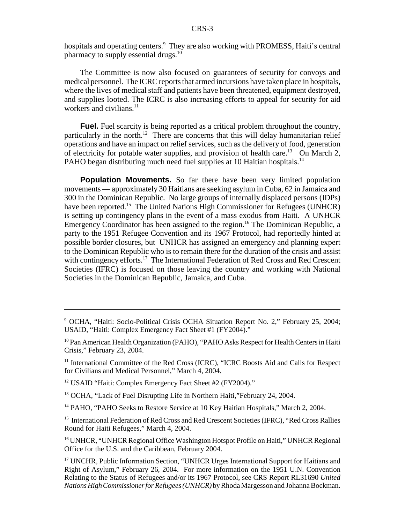hospitals and operating centers.<sup>9</sup> They are also working with PROMESS, Haiti's central pharmacy to supply essential drugs.<sup>10</sup>

The Committee is now also focused on guarantees of security for convoys and medical personnel. The ICRC reports that armed incursions have taken place in hospitals, where the lives of medical staff and patients have been threatened, equipment destroyed, and supplies looted. The ICRC is also increasing efforts to appeal for security for aid workers and civilians.<sup>11</sup>

**Fuel.** Fuel scarcity is being reported as a critical problem throughout the country, particularly in the north.<sup>12</sup> There are concerns that this will delay humanitarian relief operations and have an impact on relief services, such as the delivery of food, generation of electricity for potable water supplies, and provision of health care.<sup>13</sup> On March 2, PAHO began distributing much need fuel supplies at 10 Haitian hospitals.<sup>14</sup>

**Population Movements.** So far there have been very limited population movements — approximately 30 Haitians are seeking asylum in Cuba, 62 in Jamaica and 300 in the Dominican Republic. No large groups of internally displaced persons (IDPs) have been reported.<sup>15</sup> The United Nations High Commissioner for Refugees (UNHCR) is setting up contingency plans in the event of a mass exodus from Haiti. A UNHCR Emergency Coordinator has been assigned to the region.<sup>16</sup> The Dominican Republic, a party to the 1951 Refugee Convention and its 1967 Protocol, had reportedly hinted at possible border closures, but UNHCR has assigned an emergency and planning expert to the Dominican Republic who is to remain there for the duration of the crisis and assist with contingency efforts.<sup>17</sup> The International Federation of Red Cross and Red Crescent Societies (IFRC) is focused on those leaving the country and working with National Societies in the Dominican Republic, Jamaica, and Cuba.

<sup>12</sup> USAID "Haiti: Complex Emergency Fact Sheet #2 (FY2004)."

<sup>13</sup> OCHA, "Lack of Fuel Disrupting Life in Northern Haiti,"February 24, 2004.

<sup>14</sup> PAHO, "PAHO Seeks to Restore Service at 10 Key Haitian Hospitals," March 2, 2004.

<sup>15</sup> International Federation of Red Cross and Red Crescent Societies (IFRC), "Red Cross Rallies Round for Haiti Refugees," March 4, 2004.

<sup>16</sup> UNHCR, "UNHCR Regional Office Washington Hotspot Profile on Haiti," UNHCR Regional Office for the U.S. and the Caribbean, February 2004.

<sup>&</sup>lt;sup>9</sup> OCHA, "Haiti: Socio-Political Crisis OCHA Situation Report No. 2," February 25, 2004; USAID, "Haiti: Complex Emergency Fact Sheet #1 (FY2004)."

<sup>&</sup>lt;sup>10</sup> Pan American Health Organization (PAHO), "PAHO Asks Respect for Health Centers in Haiti Crisis," February 23, 2004.

<sup>&</sup>lt;sup>11</sup> International Committee of the Red Cross (ICRC), "ICRC Boosts Aid and Calls for Respect for Civilians and Medical Personnel," March 4, 2004.

<sup>&</sup>lt;sup>17</sup> UNCHR, Public Information Section, "UNHCR Urges International Support for Haitians and Right of Asylum," February 26, 2004. For more information on the 1951 U.N. Convention Relating to the Status of Refugees and/or its 1967 Protocol, see CRS Report RL31690 *United Nations High Commissioner for Refugees (UNHCR)* by Rhoda Margesson and Johanna Bockman.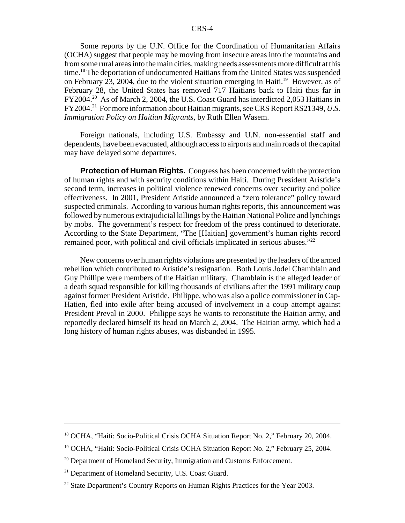#### CRS-4

Some reports by the U.N. Office for the Coordination of Humanitarian Affairs (OCHA) suggest that people may be moving from insecure areas into the mountains and from some rural areas into the main cities, making needs assessments more difficult at this time.18 The deportation of undocumented Haitians from the United States was suspended on February 23, 2004, due to the violent situation emerging in Haiti.<sup>19</sup> However, as of February 28, the United States has removed 717 Haitians back to Haiti thus far in FY2004.<sup>20</sup> As of March 2, 2004, the U.S. Coast Guard has interdicted 2,053 Haitians in FY2004.21 For more information about Haitian migrants, see CRS Report RS21349, *U.S. Immigration Policy on Haitian Migrants,* by Ruth Ellen Wasem.

Foreign nationals, including U.S. Embassy and U.N. non-essential staff and dependents, have been evacuated, although access to airports and main roads of the capital may have delayed some departures.

**Protection of Human Rights.** Congress has been concerned with the protection of human rights and with security conditions within Haiti. During President Aristide's second term, increases in political violence renewed concerns over security and police effectiveness. In 2001, President Aristide announced a "zero tolerance" policy toward suspected criminals. According to various human rights reports, this announcement was followed by numerous extrajudicial killings by the Haitian National Police and lynchings by mobs. The government's respect for freedom of the press continued to deteriorate. According to the State Department, "The [Haitian] government's human rights record remained poor, with political and civil officials implicated in serious abuses."<sup>22</sup>

New concerns over human rights violations are presented by the leaders of the armed rebellion which contributed to Aristide's resignation. Both Louis Jodel Chamblain and Guy Phillipe were members of the Haitian military. Chamblain is the alleged leader of a death squad responsible for killing thousands of civilians after the 1991 military coup against former President Aristide. Philippe, who was also a police commissioner in Cap-Hatien, fled into exile after being accused of involvement in a coup attempt against President Preval in 2000. Philippe says he wants to reconstitute the Haitian army, and reportedly declared himself its head on March 2, 2004. The Haitian army, which had a long history of human rights abuses, was disbanded in 1995.

<sup>&</sup>lt;sup>18</sup> OCHA, "Haiti: Socio-Political Crisis OCHA Situation Report No. 2," February 20, 2004.

<sup>&</sup>lt;sup>19</sup> OCHA, "Haiti: Socio-Political Crisis OCHA Situation Report No. 2," February 25, 2004.

<sup>&</sup>lt;sup>20</sup> Department of Homeland Security, Immigration and Customs Enforcement.

<sup>&</sup>lt;sup>21</sup> Department of Homeland Security, U.S. Coast Guard.

<sup>&</sup>lt;sup>22</sup> State Department's Country Reports on Human Rights Practices for the Year 2003.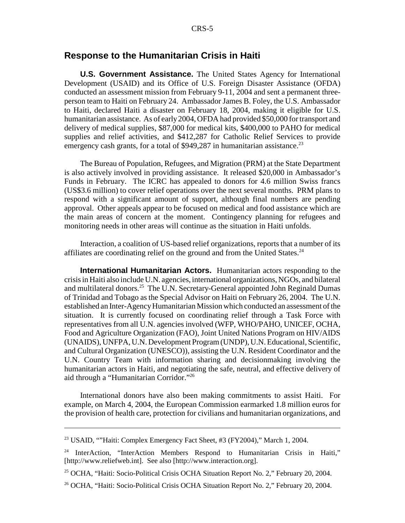#### **Response to the Humanitarian Crisis in Haiti**

**U.S. Government Assistance.** The United States Agency for International Development (USAID) and its Office of U.S. Foreign Disaster Assistance (OFDA) conducted an assessment mission from February 9-11, 2004 and sent a permanent threeperson team to Haiti on February 24. Ambassador James B. Foley, the U.S. Ambassador to Haiti, declared Haiti a disaster on February 18, 2004, making it eligible for U.S. humanitarian assistance. As of early 2004, OFDA had provided \$50,000 for transport and delivery of medical supplies, \$87,000 for medical kits, \$400,000 to PAHO for medical supplies and relief activities, and \$412,287 for Catholic Relief Services to provide emergency cash grants, for a total of \$949,287 in humanitarian assistance.<sup>23</sup>

The Bureau of Population, Refugees, and Migration (PRM) at the State Department is also actively involved in providing assistance. It released \$20,000 in Ambassador's Funds in February. The ICRC has appealed to donors for 4.6 million Swiss francs (US\$3.6 million) to cover relief operations over the next several months. PRM plans to respond with a significant amount of support, although final numbers are pending approval. Other appeals appear to be focused on medical and food assistance which are the main areas of concern at the moment. Contingency planning for refugees and monitoring needs in other areas will continue as the situation in Haiti unfolds.

Interaction, a coalition of US-based relief organizations, reports that a number of its affiliates are coordinating relief on the ground and from the United States.<sup>24</sup>

**International Humanitarian Actors.** Humanitarian actors responding to the crisis in Haiti also include U.N. agencies, international organizations, NGOs, and bilateral and multilateral donors.<sup>25</sup> The U.N. Secretary-General appointed John Reginald Dumas of Trinidad and Tobago as the Special Advisor on Haiti on February 26, 2004. The U.N. established an Inter-Agency Humanitarian Mission which conducted an assessment of the situation. It is currently focused on coordinating relief through a Task Force with representatives from all U.N. agencies involved (WFP, WHO/PAHO, UNICEF, OCHA, Food and Agriculture Organization (FAO), Joint United Nations Program on HIV/AIDS (UNAIDS), UNFPA, U.N. Development Program (UNDP), U.N. Educational, Scientific, and Cultural Organization (UNESCO)), assisting the U.N. Resident Coordinator and the U.N. Country Team with information sharing and decisionmaking involving the humanitarian actors in Haiti, and negotiating the safe, neutral, and effective delivery of aid through a "Humanitarian Corridor."26

International donors have also been making commitments to assist Haiti. For example, on March 4, 2004, the European Commission earmarked 1.8 million euros for the provision of health care, protection for civilians and humanitarian organizations, and

<sup>&</sup>lt;sup>23</sup> USAID, ""Haiti: Complex Emergency Fact Sheet, #3 (FY2004)," March 1, 2004.

<sup>&</sup>lt;sup>24</sup> InterAction, "InterAction Members Respond to Humanitarian Crisis in Haiti," [http://www.reliefweb.int]. See also [http://www.interaction.org].

<sup>&</sup>lt;sup>25</sup> OCHA, "Haiti: Socio-Political Crisis OCHA Situation Report No. 2," February 20, 2004.

<sup>&</sup>lt;sup>26</sup> OCHA, "Haiti: Socio-Political Crisis OCHA Situation Report No. 2," February 20, 2004.